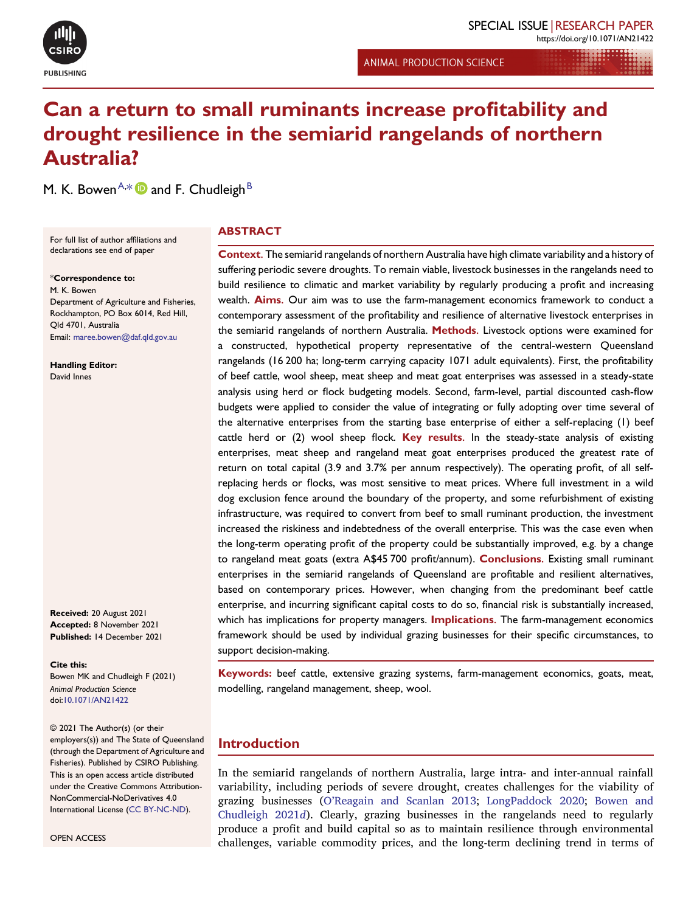

**ANIMAL PRODUCTION SCIENCE** 

# Can a return to small ruminants increase profitability and drought resilience in the semiarid rangelands of northern Australia?

<span id="page-0-1"></span>M. K. [B](#page-7-1)owen $^{\mathsf{A},\ast}$  $^{\mathsf{A},\ast}$  $^{\mathsf{A},\ast}$   $\blacksquare$  and F. Chudleigh $^{\mathsf{B}}$ 

**ABSTRACT** 

For full list of author affiliations and declarations see end of paper

<span id="page-0-0"></span>\*Correspondence to:

M. K. Bowen Department of Agriculture and Fisheries, Rockhampton, PO Box 6014, Red Hill, Qld 4701, Australia Email: [maree.bowen@daf.qld.gov.au](mailto:maree.bowen@daf.qld.gov.au)

Handling Editor: David Innes

Received: <sup>20</sup> August 2021 Accepted: <sup>8</sup> November <sup>2021</sup> Published: 1<sup>4</sup> December 2021

Cite this: Bowen MK and Chudleigh F (2021) Animal Production Science doi:[10.1071/AN21422](https://doi.org/10.1071/AN21422)

© 2021 The Author(s) (or their employers(s)) and The State of Queensland (through the Department of Agriculture and Fisheries). Published by CSIRO Publishing. This is an open access article distributed under the Creative Commons Attribution-NonCommercial-NoDerivatives 4.0 International License (CC [BY-NC-ND\)](http://creativecommons.org/licenses/by-nc-nd/4.0/).

OPEN ACCESS

Context. The semiarid rangelands of northern Australia have high climate variability and a history of suffering periodic severe droughts. To remain viable, livestock businesses in the rangelands need to build resilience to climatic and market variability by regularly producing a profit and increasing wealth. **Aims**. Our aim was to use the farm-management economics framework to conduct a contemporary assessment of the profitability and resilience of alternative livestock enterprises in the semiarid rangelands of northern Australia. Methods. Livestock options were examined for a constructed, hypothetical property representative of the central-western Queensland rangelands (16 200 ha; long-term carrying capacity 1071 adult equivalents). First, the profitability of beef cattle, wool sheep, meat sheep and meat goat enterprises was assessed in a steady-state analysis using herd or flock budgeting models. Second, farm-level, partial discounted cash-flow budgets were applied to consider the value of integrating or fully adopting over time several of the alternative enterprises from the starting base enterprise of either a self-replacing (1) beef cattle herd or  $(2)$  wool sheep flock. Key results. In the steady-state analysis of existing enterprises, meat sheep and rangeland meat goat enterprises produced the greatest rate of return on total capital (3.9 and 3.7% per annum respectively). The operating profit, of all selfreplacing herds or flocks, was most sensitive to meat prices. Where full investment in a wild dog exclusion fence around the boundary of the property, and some refurbishment of existing infrastructure, was required to convert from beef to small ruminant production, the investment increased the riskiness and indebtedness of the overall enterprise. This was the case even when the long-term operating profit of the property could be substantially improved, e.g. by a change to rangeland meat goats (extra A\$45 700 profit/annum). Conclusions. Existing small ruminant enterprises in the semiarid rangelands of Queensland are profitable and resilient alternatives, based on contemporary prices. However, when changing from the predominant beef cattle enterprise, and incurring significant capital costs to do so, financial risk is substantially increased, which has implications for property managers. **Implications**. The farm-management economics framework should be used by individual grazing businesses for their specific circumstances, to support decision-making.

Keywords: beef cattle, extensive grazing systems, farm-management economics, goats, meat, modelling, rangeland management, sheep, wool.

# Introduction

In the semiarid rangelands of northern Australia, large intra- and inter-annual rainfall variability, including periods of severe drought, creates challenges for the viability of grazing businesses (O'[Reagain](#page-7-2) and Scanlan 2013; [LongPaddock](#page-7-3) 2020; [Bowen](#page-6-0) and [Chudleigh](#page-6-0) 2021d). Clearly, grazing businesses in the rangelands need to regularly produce a profit and build capital so as to maintain resilience through environmental challenges, variable commodity prices, and the long-term declining trend in terms of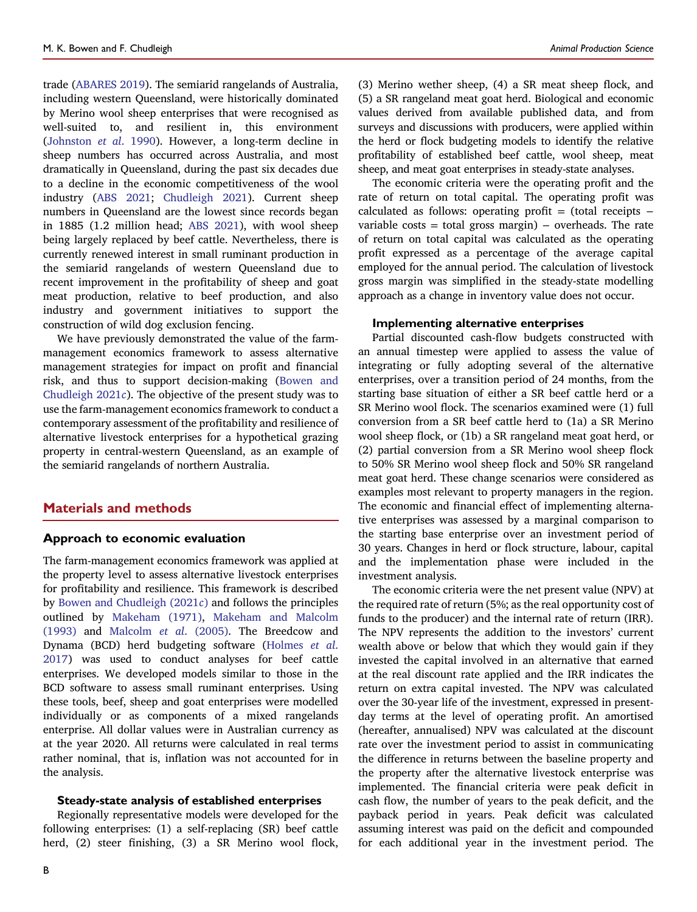trade ([ABARES](#page-6-1) 2019). The semiarid rangelands of Australia, including western Queensland, were historically dominated by Merino wool sheep enterprises that were recognised as well-suited to, and resilient in, this environment [\(Johnston](#page-7-4) et al. 1990). However, a long-term decline in sheep numbers has occurred across Australia, and most dramatically in Queensland, during the past six decades due to a decline in the economic competitiveness of the wool industry (ABS [2021](#page-6-2); [Chudleigh](#page-6-3) 2021). Current sheep numbers in Queensland are the lowest since records began in 1885 (1.2 million head; ABS [2021\)](#page-6-2), with wool sheep being largely replaced by beef cattle. Nevertheless, there is currently renewed interest in small ruminant production in the semiarid rangelands of western Queensland due to recent improvement in the profitability of sheep and goat meat production, relative to beef production, and also industry and government initiatives to support the construction of wild dog exclusion fencing.

We have previously demonstrated the value of the farmmanagement economics framework to assess alternative management strategies for impact on profit and financial risk, and thus to support decision-making ([Bowen](#page-6-4) and [Chudleigh](#page-6-4) 2021c). The objective of the present study was to use the farm-management economics framework to conduct a contemporary assessment of the profitability and resilience of alternative livestock enterprises for a hypothetical grazing property in central-western Queensland, as an example of the semiarid rangelands of northern Australia.

# Materials and methods

#### Approach to economic evaluation

The farm-management economics framework was applied at the property level to assess alternative livestock enterprises for profitability and resilience. This framework is described by Bowen and [Chudleigh](#page-6-4) (2021c) and follows the principles outlined by [Makeham](#page-7-5) (1971), [Makeham](#page-7-6) and Malcolm [\(1993\)](#page-7-6) and [Malcolm](#page-7-7) et al. (2005). The Breedcow and Dynama (BCD) herd budgeting software ([Holmes](#page-7-8) et al. [2017](#page-7-8)) was used to conduct analyses for beef cattle enterprises. We developed models similar to those in the BCD software to assess small ruminant enterprises. Using these tools, beef, sheep and goat enterprises were modelled individually or as components of a mixed rangelands enterprise. All dollar values were in Australian currency as at the year 2020. All returns were calculated in real terms rather nominal, that is, inflation was not accounted for in the analysis.

#### Steady-state analysis of established enterprises

Regionally representative models were developed for the following enterprises: (1) a self-replacing (SR) beef cattle herd, (2) steer finishing, (3) a SR Merino wool flock, (3) Merino wether sheep, (4) a SR meat sheep flock, and (5) a SR rangeland meat goat herd. Biological and economic values derived from available published data, and from surveys and discussions with producers, were applied within the herd or flock budgeting models to identify the relative profitability of established beef cattle, wool sheep, meat sheep, and meat goat enterprises in steady-state analyses.

The economic criteria were the operating profit and the rate of return on total capital. The operating profit was calculated as follows: operating profit = (total receipts − variable costs = total gross margin)  $-$  overheads. The rate of return on total capital was calculated as the operating profit expressed as a percentage of the average capital employed for the annual period. The calculation of livestock gross margin was simplified in the steady-state modelling approach as a change in inventory value does not occur.

#### Implementing alternative enterprises

Partial discounted cash-flow budgets constructed with an annual timestep were applied to assess the value of integrating or fully adopting several of the alternative enterprises, over a transition period of 24 months, from the starting base situation of either a SR beef cattle herd or a SR Merino wool flock. The scenarios examined were (1) full conversion from a SR beef cattle herd to (1a) a SR Merino wool sheep flock, or (1b) a SR rangeland meat goat herd, or (2) partial conversion from a SR Merino wool sheep flock to 50% SR Merino wool sheep flock and 50% SR rangeland meat goat herd. These change scenarios were considered as examples most relevant to property managers in the region. The economic and financial effect of implementing alternative enterprises was assessed by a marginal comparison to the starting base enterprise over an investment period of 30 years. Changes in herd or flock structure, labour, capital and the implementation phase were included in the investment analysis.

The economic criteria were the net present value (NPV) at the required rate of return (5%; as the real opportunity cost of funds to the producer) and the internal rate of return (IRR). The NPV represents the addition to the investors' current wealth above or below that which they would gain if they invested the capital involved in an alternative that earned at the real discount rate applied and the IRR indicates the return on extra capital invested. The NPV was calculated over the 30-year life of the investment, expressed in presentday terms at the level of operating profit. An amortised (hereafter, annualised) NPV was calculated at the discount rate over the investment period to assist in communicating the difference in returns between the baseline property and the property after the alternative livestock enterprise was implemented. The financial criteria were peak deficit in cash flow, the number of years to the peak deficit, and the payback period in years. Peak deficit was calculated assuming interest was paid on the deficit and compounded for each additional year in the investment period. The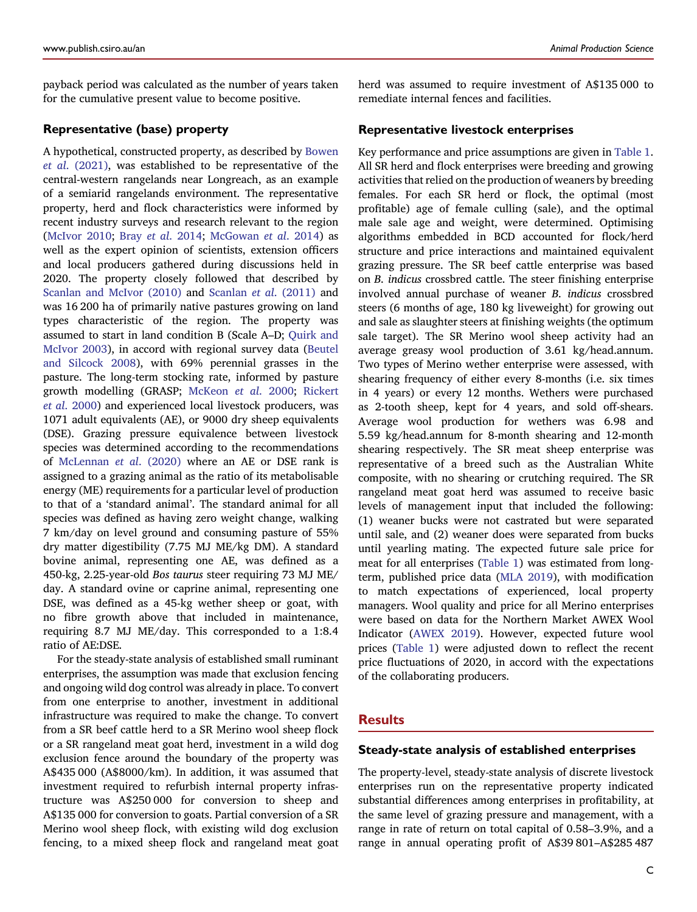payback period was calculated as the number of years taken for the cumulative present value to become positive.

# Representative (base) property

A hypothetical, constructed property, as described by [Bowen](#page-6-5) et al. [\(2021\)](#page-6-5), was established to be representative of the central-western rangelands near Longreach, as an example of a semiarid rangelands environment. The representative property, herd and flock characteristics were informed by recent industry surveys and research relevant to the region [\(McIvor](#page-7-9) 2010; Bray et al. [2014;](#page-6-6) [McGowan](#page-7-10) et al. 2014) as well as the expert opinion of scientists, extension officers and local producers gathered during discussions held in 2020. The property closely followed that described by [Scanlan](#page-7-11) and McIvor (2010) and [Scanlan](#page-7-12) et al. (2011) and was 16 200 ha of primarily native pastures growing on land types characteristic of the region. The property was assumed to start in land condition B (Scale A–D; [Quirk](#page-7-13) and [McIvor](#page-7-13) 2003), in accord with regional survey data ([Beutel](#page-6-7) and [Silcock](#page-6-7) 2008), with 69% perennial grasses in the pasture. The long-term stocking rate, informed by pasture growth modelling (GRASP; [McKeon](#page-7-14) et al. 2000; [Rickert](#page-7-15) et al. [2000\)](#page-7-15) and experienced local livestock producers, was 1071 adult equivalents (AE), or 9000 dry sheep equivalents (DSE). Grazing pressure equivalence between livestock species was determined according to the recommendations of [McLennan](#page-7-16) et al. (2020) where an AE or DSE rank is assigned to a grazing animal as the ratio of its metabolisable energy (ME) requirements for a particular level of production to that of a 'standard animal'. The standard animal for all species was defined as having zero weight change, walking 7 km/day on level ground and consuming pasture of 55% dry matter digestibility (7.75 MJ ME/kg DM). A standard bovine animal, representing one AE, was defined as a 450-kg, 2.25-year-old Bos taurus steer requiring 73 MJ ME/ day. A standard ovine or caprine animal, representing one DSE, was defined as a 45-kg wether sheep or goat, with no fibre growth above that included in maintenance, requiring 8.7 MJ ME/day. This corresponded to a 1:8.4 ratio of AE:DSE.

For the steady-state analysis of established small ruminant enterprises, the assumption was made that exclusion fencing and ongoing wild dog control was already in place. To convert from one enterprise to another, investment in additional infrastructure was required to make the change. To convert from a SR beef cattle herd to a SR Merino wool sheep flock or a SR rangeland meat goat herd, investment in a wild dog exclusion fence around the boundary of the property was A\$435 000 (A\$8000/km). In addition, it was assumed that investment required to refurbish internal property infrastructure was A\$250 000 for conversion to sheep and A\$135 000 for conversion to goats. Partial conversion of a SR Merino wool sheep flock, with existing wild dog exclusion fencing, to a mixed sheep flock and rangeland meat goat herd was assumed to require investment of A\$135 000 to remediate internal fences and facilities.

# Representative livestock enterprises

Key performance and price assumptions are given in [Table](#page-3-0) 1. All SR herd and flock enterprises were breeding and growing activities that relied on the production of weaners by breeding females. For each SR herd or flock, the optimal (most profitable) age of female culling (sale), and the optimal male sale age and weight, were determined. Optimising algorithms embedded in BCD accounted for flock/herd structure and price interactions and maintained equivalent grazing pressure. The SR beef cattle enterprise was based on B. indicus crossbred cattle. The steer finishing enterprise involved annual purchase of weaner B. indicus crossbred steers (6 months of age, 180 kg liveweight) for growing out and sale as slaughter steers at finishing weights (the optimum sale target). The SR Merino wool sheep activity had an average greasy wool production of 3.61 kg/head.annum. Two types of Merino wether enterprise were assessed, with shearing frequency of either every 8-months (i.e. six times in 4 years) or every 12 months. Wethers were purchased as 2-tooth sheep, kept for 4 years, and sold off-shears. Average wool production for wethers was 6.98 and 5.59 kg/head.annum for 8-month shearing and 12-month shearing respectively. The SR meat sheep enterprise was representative of a breed such as the Australian White composite, with no shearing or crutching required. The SR rangeland meat goat herd was assumed to receive basic levels of management input that included the following: (1) weaner bucks were not castrated but were separated until sale, and (2) weaner does were separated from bucks until yearling mating. The expected future sale price for meat for all enterprises ([Table](#page-3-0) 1) was estimated from longterm, published price data (MLA [2019](#page-7-17)), with modification to match expectations of experienced, local property managers. Wool quality and price for all Merino enterprises were based on data for the Northern Market AWEX Wool Indicator [\(AWEX](#page-6-8) 2019). However, expected future wool prices ([Table](#page-3-0) 1) were adjusted down to reflect the recent price fluctuations of 2020, in accord with the expectations of the collaborating producers.

### **Results**

#### Steady-state analysis of established enterprises

The property-level, steady-state analysis of discrete livestock enterprises run on the representative property indicated substantial differences among enterprises in profitability, at the same level of grazing pressure and management, with a range in rate of return on total capital of 0.58–3.9%, and a range in annual operating profit of A\$39 801–A\$285 487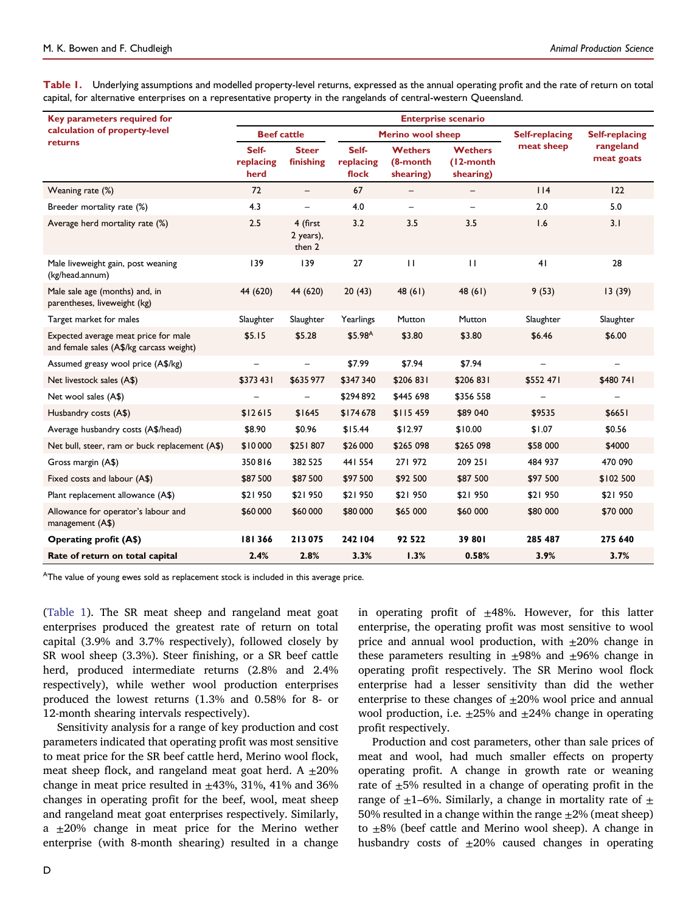<span id="page-3-0"></span>Table 1. Underlying assumptions and modelled property-level returns, expressed as the annual operating profit and the rate of return on total capital, for alternative enterprises on a representative property in the rangelands of central-western Queensland.

| Key parameters required for<br>calculation of property-level<br>returns          | <b>Enterprise scenario</b> |                                 |                             |                                         |                                          |                       |                         |  |  |  |
|----------------------------------------------------------------------------------|----------------------------|---------------------------------|-----------------------------|-----------------------------------------|------------------------------------------|-----------------------|-------------------------|--|--|--|
|                                                                                  | <b>Beef cattle</b>         |                                 | <b>Merino wool sheep</b>    |                                         |                                          | <b>Self-replacing</b> | <b>Self-replacing</b>   |  |  |  |
|                                                                                  | Self-<br>replacing<br>herd | <b>Steer</b><br>finishing       | Self-<br>replacing<br>flock | <b>Wethers</b><br>(8-month<br>shearing) | <b>Wethers</b><br>(12-month<br>shearing) | meat sheep            | rangeland<br>meat goats |  |  |  |
| Weaning rate (%)                                                                 | 72                         | $\overline{\phantom{m}}$        | 67                          |                                         |                                          | 114                   | 122                     |  |  |  |
| Breeder mortality rate (%)                                                       | 4.3                        | $\qquad \qquad -$               | 4.0                         | $\overline{\phantom{m}}$                | $\qquad \qquad -$                        | 2.0                   | 5.0                     |  |  |  |
| Average herd mortality rate (%)                                                  | 2.5                        | 4 (first<br>2 years),<br>then 2 | 3.2                         | 3.5                                     | 3.5                                      | 1.6                   | 3.1                     |  |  |  |
| Male liveweight gain, post weaning<br>(kg/head.annum)                            | 139                        | 139                             | 27                          | $\mathbf{H}$                            | $\mathbf{H}$                             | 41                    | 28                      |  |  |  |
| Male sale age (months) and, in<br>parentheses, liveweight (kg)                   | 44 (620)                   | 44 (620)                        | 20(43)                      | 48 (61)                                 | 48(61)                                   | 9(53)                 | 13(39)                  |  |  |  |
| Target market for males                                                          | Slaughter                  | Slaughter                       | Yearlings                   | Mutton                                  | Mutton                                   | Slaughter             | Slaughter               |  |  |  |
| Expected average meat price for male<br>and female sales (A\$/kg carcass weight) | \$5.15                     | \$5.28                          | \$5.98 <sup>A</sup>         | \$3.80                                  | \$3.80                                   | \$6.46                | \$6.00                  |  |  |  |
| Assumed greasy wool price (A\$/kg)                                               | —                          |                                 | \$7.99                      | \$7.94                                  | \$7.94                                   |                       |                         |  |  |  |
| Net livestock sales (A\$)                                                        | \$373431                   | \$635 977                       | \$347 340                   | \$206 831                               | \$206 831                                | \$552 471             | \$480 741               |  |  |  |
| Net wool sales (A\$)                                                             |                            |                                 | \$294892                    | \$445 698                               | \$356 558                                |                       |                         |  |  |  |
| Husbandry costs (A\$)                                                            | \$12615                    | \$1645                          | \$174678                    | \$115 459                               | \$89 040                                 | \$9535                | \$6651                  |  |  |  |
| Average husbandry costs (A\$/head)                                               | \$8.90                     | \$0.96                          | \$15.44                     | \$12.97                                 | \$10.00                                  | \$1.07                | \$0.56                  |  |  |  |
| Net bull, steer, ram or buck replacement (A\$)                                   | \$10000                    | \$251807                        | \$26 000                    | \$265 098                               | \$265 098                                | \$58 000              | \$4000                  |  |  |  |
| Gross margin (A\$)                                                               | 350816                     | 382 525                         | 441 554                     | 271972                                  | 209 251                                  | 484 937               | 470 090                 |  |  |  |
| Fixed costs and labour (A\$)                                                     | \$87500                    | \$87500                         | \$97500                     | \$92 500                                | \$87 500                                 | \$97 500              | \$102 500               |  |  |  |
| Plant replacement allowance (A\$)                                                | \$21950                    | \$21950                         | \$21950                     | \$21 950                                | \$21 950                                 | \$21 950              | \$21 950                |  |  |  |
| Allowance for operator's labour and<br>management (A\$)                          | \$60 000                   | \$60 000                        | \$80 000                    | \$65 000                                | \$60 000                                 | \$80 000              | \$70 000                |  |  |  |
| <b>Operating profit (A\$)</b>                                                    | 181366                     | 213075                          | 242 104                     | 92 5 22                                 | 39 801                                   | 285 487               | 275 640                 |  |  |  |
| Rate of return on total capital                                                  | 2.4%                       | 2.8%                            | 3.3%                        | 1.3%                                    | 0.58%                                    | 3.9%                  | 3.7%                    |  |  |  |

<sup>A</sup>The value of young ewes sold as replacement stock is included in this average price.

[\(Table](#page-3-0) 1). The SR meat sheep and rangeland meat goat enterprises produced the greatest rate of return on total capital (3.9% and 3.7% respectively), followed closely by SR wool sheep (3.3%). Steer finishing, or a SR beef cattle herd, produced intermediate returns (2.8% and 2.4% respectively), while wether wool production enterprises produced the lowest returns (1.3% and 0.58% for 8- or 12-month shearing intervals respectively).

Sensitivity analysis for a range of key production and cost parameters indicated that operating profit was most sensitive to meat price for the SR beef cattle herd, Merino wool flock, meat sheep flock, and rangeland meat goat herd. A  $\pm 20\%$ change in meat price resulted in  $\pm$ 43%, 31%, 41% and 36% changes in operating profit for the beef, wool, meat sheep and rangeland meat goat enterprises respectively. Similarly, a  $\pm 20$ % change in meat price for the Merino wether enterprise (with 8-month shearing) resulted in a change

in operating profit of  $\pm 48$ %. However, for this latter enterprise, the operating profit was most sensitive to wool price and annual wool production, with  $\pm 20\%$  change in these parameters resulting in  $\pm 98\%$  and  $\pm 96\%$  change in operating profit respectively. The SR Merino wool flock enterprise had a lesser sensitivity than did the wether enterprise to these changes of  $\pm 20\%$  wool price and annual wool production, i.e.  $\pm 25\%$  and  $\pm 24\%$  change in operating profit respectively.

Production and cost parameters, other than sale prices of meat and wool, had much smaller effects on property operating profit. A change in growth rate or weaning rate of  $\pm$ 5% resulted in a change of operating profit in the range of  $\pm$ 1–6%. Similarly, a change in mortality rate of  $\pm$ 50% resulted in a change within the range  $\pm$ 2% (meat sheep) to ±8% (beef cattle and Merino wool sheep). A change in husbandry costs of  $\pm 20\%$  caused changes in operating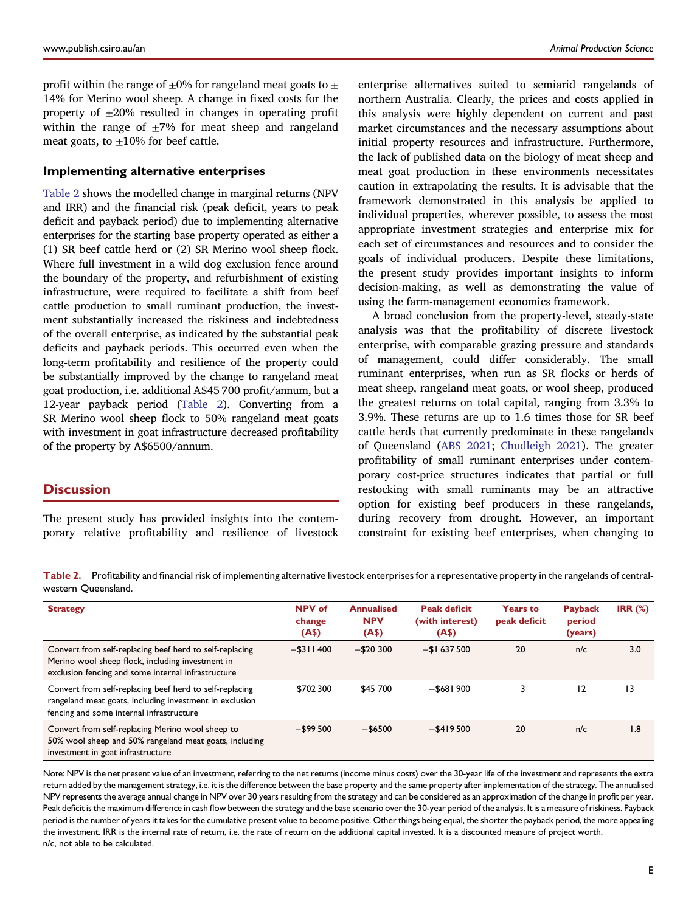profit within the range of  $\pm 0\%$  for rangeland meat goats to  $\pm$ 14% for Merino wool sheep. A change in fixed costs for the property of  $\pm 20\%$  resulted in changes in operating profit within the range of  $\pm$ 7% for meat sheep and rangeland meat goats, to  $\pm 10\%$  for beef cattle.

# Implementing alternative enterprises

[Table](#page-4-0) 2 shows the modelled change in marginal returns (NPV and IRR) and the financial risk (peak deficit, years to peak deficit and payback period) due to implementing alternative enterprises for the starting base property operated as either a (1) SR beef cattle herd or (2) SR Merino wool sheep flock. Where full investment in a wild dog exclusion fence around the boundary of the property, and refurbishment of existing infrastructure, were required to facilitate a shift from beef cattle production to small ruminant production, the investment substantially increased the riskiness and indebtedness of the overall enterprise, as indicated by the substantial peak deficits and payback periods. This occurred even when the long-term profitability and resilience of the property could be substantially improved by the change to rangeland meat goat production, i.e. additional A\$45 700 profit/annum, but a 12-year payback period ([Table](#page-4-0) 2). Converting from a SR Merino wool sheep flock to 50% rangeland meat goats with investment in goat infrastructure decreased profitability of the property by A\$6500/annum.

# **Discussion**

The present study has provided insights into the contemporary relative profitability and resilience of livestock enterprise alternatives suited to semiarid rangelands of northern Australia. Clearly, the prices and costs applied in this analysis were highly dependent on current and past market circumstances and the necessary assumptions about initial property resources and infrastructure. Furthermore, the lack of published data on the biology of meat sheep and meat goat production in these environments necessitates caution in extrapolating the results. It is advisable that the framework demonstrated in this analysis be applied to individual properties, wherever possible, to assess the most appropriate investment strategies and enterprise mix for each set of circumstances and resources and to consider the goals of individual producers. Despite these limitations, the present study provides important insights to inform decision-making, as well as demonstrating the value of using the farm-management economics framework.

A broad conclusion from the property-level, steady-state analysis was that the profitability of discrete livestock enterprise, with comparable grazing pressure and standards of management, could differ considerably. The small ruminant enterprises, when run as SR flocks or herds of meat sheep, rangeland meat goats, or wool sheep, produced the greatest returns on total capital, ranging from 3.3% to 3.9%. These returns are up to 1.6 times those for SR beef cattle herds that currently predominate in these rangelands of Queensland (ABS [2021](#page-6-2); [Chudleigh](#page-6-3) 2021). The greater profitability of small ruminant enterprises under contemporary cost-price structures indicates that partial or full restocking with small ruminants may be an attractive option for existing beef producers in these rangelands, during recovery from drought. However, an important constraint for existing beef enterprises, when changing to

<span id="page-4-0"></span>Table 2. Profitability and financial risk of implementing alternative livestock enterprises for a representative property in the rangelands of centralwestern Queensland.

| <b>Strategy</b>                                                                                                                                                   | NPV of<br>change<br>(A\$) | <b>Annualised</b><br><b>NPV</b><br>(A\$) | <b>Peak deficit</b><br>(with interest)<br>(A\$) | <b>Years to</b><br>peak deficit | <b>Payback</b><br>period<br>(years) | IRR $(\%)$      |
|-------------------------------------------------------------------------------------------------------------------------------------------------------------------|---------------------------|------------------------------------------|-------------------------------------------------|---------------------------------|-------------------------------------|-----------------|
| Convert from self-replacing beef herd to self-replacing<br>Merino wool sheep flock, including investment in<br>exclusion fencing and some internal infrastructure | $-$ \$311400              | $-$ \$20 300                             | $-$ \$1 637 500                                 | 20                              | n/c                                 | 3.0             |
| Convert from self-replacing beef herd to self-replacing<br>rangeland meat goats, including investment in exclusion<br>fencing and some internal infrastructure    | \$702 300                 | \$45 700                                 | $-$ \$681 900                                   | 3                               | 12                                  | $\overline{13}$ |
| Convert from self-replacing Merino wool sheep to<br>50% wool sheep and 50% rangeland meat goats, including<br>investment in goat infrastructure                   | $-$ \$99 500              | $-$ \$6500                               | $-$ \$419500                                    | 20                              | n/c                                 | 1.8             |

Note: NPV is the net present value of an investment, referring to the net returns (income minus costs) over the 30-year life of the investment and represents the extra return added by the management strategy, i.e. it is the difference between the base property and the same property afterimplementation of the strategy. The annualised NPV represents the average annual change in NPV over 30 years resulting from the strategy and can be considered as an approximation of the change in profit per year. Peak deficit is the maximum difference in cash flow between the strategy and the base scenario over the 30-year period of the analysis. It is a measure of riskiness. Payback period is the number of years it takes for the cumulative present value to become positive. Other things being equal, the shorter the payback period, the more appealing the investment. IRR is the internal rate of return, i.e. the rate of return on the additional capital invested. It is a discounted measure of project worth. n/c, not able to be calculated.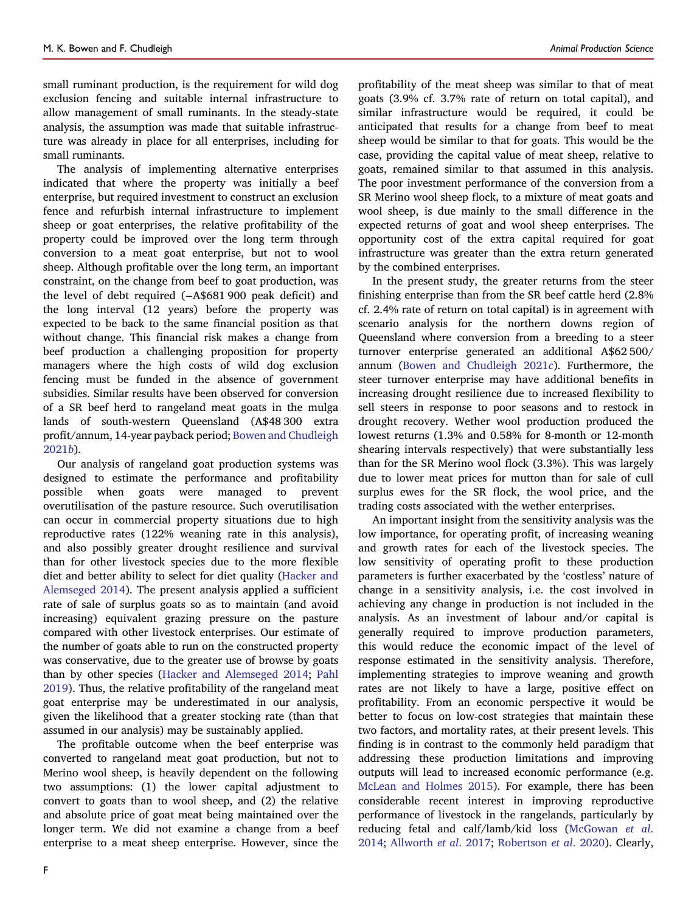small ruminant production, is the requirement for wild dog exclusion fencing and suitable internal infrastructure to allow management of small ruminants. In the steady-state analysis, the assumption was made that suitable infrastructure was already in place for all enterprises, including for small ruminants.

The analysis of implementing alternative enterprises indicated that where the property was initially a beef enterprise, but required investment to construct an exclusion fence and refurbish internal infrastructure to implement sheep or goat enterprises, the relative profitability of the property could be improved over the long term through conversion to a meat goat enterprise, but not to wool sheep. Although profitable over the long term, an important constraint, on the change from beef to goat production, was the level of debt required (−A\$681 900 peak deficit) and the long interval (12 years) before the property was expected to be back to the same financial position as that without change. This financial risk makes a change from beef production a challenging proposition for property managers where the high costs of wild dog exclusion fencing must be funded in the absence of government subsidies. Similar results have been observed for conversion of a SR beef herd to rangeland meat goats in the mulga lands of south-western Queensland (A\$48 300 extra profit/annum, 14-year payback period; Bowen and [Chudleigh](#page-6-9) [2021](#page-6-9)b).

Our analysis of rangeland goat production systems was designed to estimate the performance and profitability possible when goats were managed to prevent overutilisation of the pasture resource. Such overutilisation can occur in commercial property situations due to high reproductive rates (122% weaning rate in this analysis), and also possibly greater drought resilience and survival than for other livestock species due to the more flexible diet and better ability to select for diet quality ([Hacker](#page-7-18) and [Alemseged](#page-7-18) 2014). The present analysis applied a sufficient rate of sale of surplus goats so as to maintain (and avoid increasing) equivalent grazing pressure on the pasture compared with other livestock enterprises. Our estimate of the number of goats able to run on the constructed property was conservative, due to the greater use of browse by goats than by other species (Hacker and [Alemseged](#page-7-18) 2014; [Pahl](#page-7-19) [2019](#page-7-19)). Thus, the relative profitability of the rangeland meat goat enterprise may be underestimated in our analysis, given the likelihood that a greater stocking rate (than that assumed in our analysis) may be sustainably applied.

The profitable outcome when the beef enterprise was converted to rangeland meat goat production, but not to Merino wool sheep, is heavily dependent on the following two assumptions: (1) the lower capital adjustment to convert to goats than to wool sheep, and (2) the relative and absolute price of goat meat being maintained over the longer term. We did not examine a change from a beef enterprise to a meat sheep enterprise. However, since the

profitability of the meat sheep was similar to that of meat goats (3.9% cf. 3.7% rate of return on total capital), and similar infrastructure would be required, it could be anticipated that results for a change from beef to meat sheep would be similar to that for goats. This would be the case, providing the capital value of meat sheep, relative to goats, remained similar to that assumed in this analysis. The poor investment performance of the conversion from a SR Merino wool sheep flock, to a mixture of meat goats and wool sheep, is due mainly to the small difference in the expected returns of goat and wool sheep enterprises. The opportunity cost of the extra capital required for goat infrastructure was greater than the extra return generated by the combined enterprises.

In the present study, the greater returns from the steer finishing enterprise than from the SR beef cattle herd (2.8% cf. 2.4% rate of return on total capital) is in agreement with scenario analysis for the northern downs region of Queensland where conversion from a breeding to a steer turnover enterprise generated an additional A\$62 500/ annum (Bowen and [Chudleigh](#page-6-4) 2021c). Furthermore, the steer turnover enterprise may have additional benefits in increasing drought resilience due to increased flexibility to sell steers in response to poor seasons and to restock in drought recovery. Wether wool production produced the lowest returns (1.3% and 0.58% for 8-month or 12-month shearing intervals respectively) that were substantially less than for the SR Merino wool flock (3.3%). This was largely due to lower meat prices for mutton than for sale of cull surplus ewes for the SR flock, the wool price, and the trading costs associated with the wether enterprises.

An important insight from the sensitivity analysis was the low importance, for operating profit, of increasing weaning and growth rates for each of the livestock species. The low sensitivity of operating profit to these production parameters is further exacerbated by the 'costless' nature of change in a sensitivity analysis, i.e. the cost involved in achieving any change in production is not included in the analysis. As an investment of labour and/or capital is generally required to improve production parameters, this would reduce the economic impact of the level of response estimated in the sensitivity analysis. Therefore, implementing strategies to improve weaning and growth rates are not likely to have a large, positive effect on profitability. From an economic perspective it would be better to focus on low-cost strategies that maintain these two factors, and mortality rates, at their present levels. This finding is in contrast to the commonly held paradigm that addressing these production limitations and improving outputs will lead to increased economic performance (e.g. [McLean](#page-7-20) and Holmes 2015). For example, there has been considerable recent interest in improving reproductive performance of livestock in the rangelands, particularly by reducing fetal and calf/lamb/kid loss [\(McGowan](#page-7-10) et al. [2014;](#page-7-10) [Allworth](#page-6-10) et al. 2017; [Robertson](#page-7-21) et al. 2020). Clearly,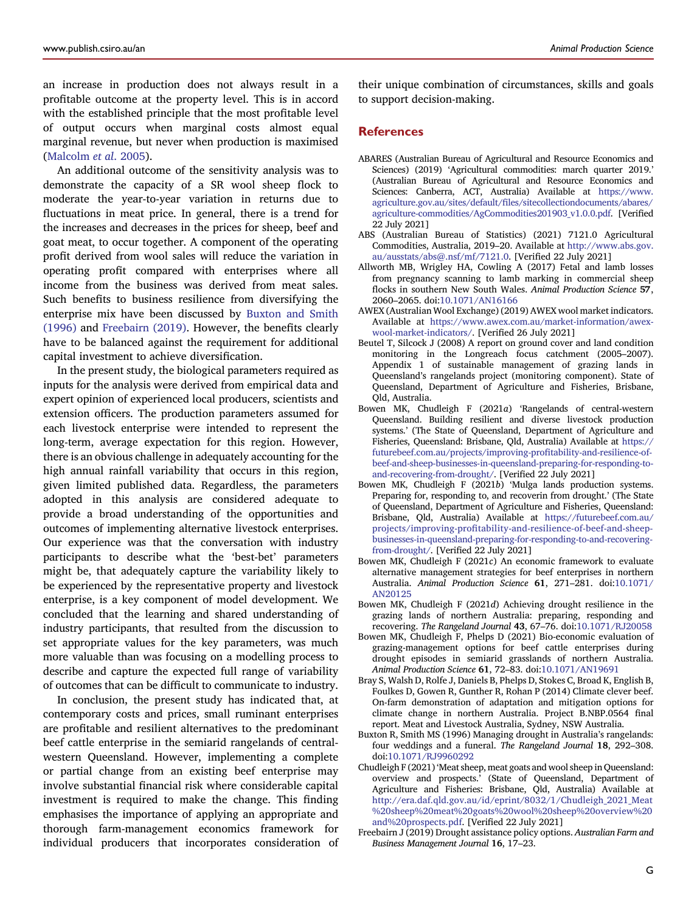an increase in production does not always result in a profitable outcome at the property level. This is in accord with the established principle that the most profitable level of output occurs when marginal costs almost equal marginal revenue, but never when production is maximised [\(Malcolm](#page-7-7) et al. 2005).

An additional outcome of the sensitivity analysis was to demonstrate the capacity of a SR wool sheep flock to moderate the year-to-year variation in returns due to fluctuations in meat price. In general, there is a trend for the increases and decreases in the prices for sheep, beef and goat meat, to occur together. A component of the operating profit derived from wool sales will reduce the variation in operating profit compared with enterprises where all income from the business was derived from meat sales. Such benefits to business resilience from diversifying the enterprise mix have been discussed by [Buxton](#page-6-11) and Smith [\(1996\)](#page-6-11) and [Freebairn](#page-6-12) (2019). However, the benefits clearly have to be balanced against the requirement for additional capital investment to achieve diversification.

In the present study, the biological parameters required as inputs for the analysis were derived from empirical data and expert opinion of experienced local producers, scientists and extension officers. The production parameters assumed for each livestock enterprise were intended to represent the long-term, average expectation for this region. However, there is an obvious challenge in adequately accounting for the high annual rainfall variability that occurs in this region, given limited published data. Regardless, the parameters adopted in this analysis are considered adequate to provide a broad understanding of the opportunities and outcomes of implementing alternative livestock enterprises. Our experience was that the conversation with industry participants to describe what the 'best-bet' parameters might be, that adequately capture the variability likely to be experienced by the representative property and livestock enterprise, is a key component of model development. We concluded that the learning and shared understanding of industry participants, that resulted from the discussion to set appropriate values for the key parameters, was much more valuable than was focusing on a modelling process to describe and capture the expected full range of variability of outcomes that can be difficult to communicate to industry.

In conclusion, the present study has indicated that, at contemporary costs and prices, small ruminant enterprises are profitable and resilient alternatives to the predominant beef cattle enterprise in the semiarid rangelands of centralwestern Queensland. However, implementing a complete or partial change from an existing beef enterprise may involve substantial financial risk where considerable capital investment is required to make the change. This finding emphasises the importance of applying an appropriate and thorough farm-management economics framework for individual producers that incorporates consideration of their unique combination of circumstances, skills and goals to support decision-making.

## **References**

- <span id="page-6-1"></span>ABARES (Australian Bureau of Agricultural and Resource Economics and Sciences) (2019) 'Agricultural commodities: march quarter 2019.' (Australian Bureau of Agricultural and Resource Economics and Sciences: Canberra, ACT, Australia) Available at [https://www.](https://www.agriculture.gov.au/sites/default/files/sitecollectiondocuments/abares/agriculture-commodities/AgCommodities201903_v1.0.0.pdf) agriculture.gov.au/sites/default/fi[les/sitecollectiondocuments/abares/](https://www.agriculture.gov.au/sites/default/files/sitecollectiondocuments/abares/agriculture-commodities/AgCommodities201903_v1.0.0.pdf) [agriculture-commodities/AgCommodities201903\\_v1.0.0.pdf.](https://www.agriculture.gov.au/sites/default/files/sitecollectiondocuments/abares/agriculture-commodities/AgCommodities201903_v1.0.0.pdf) [Verified 22 July 2021]
- <span id="page-6-2"></span>ABS (Australian Bureau of Statistics) (2021) 7121.0 Agricultural Commodities, Australia, 2019–20. Available at [http://www.abs.gov.](http://www.abs.gov.au/ausstats/abs@.nsf/mf/7121.0) [au/ausstats/abs@.nsf/mf/7121.0.](http://www.abs.gov.au/ausstats/abs@.nsf/mf/7121.0) [Verified 22 July 2021]
- <span id="page-6-10"></span>Allworth MB, Wrigley HA, Cowling A (2017) Fetal and lamb losses from pregnancy scanning to lamb marking in commercial sheep flocks in southern New South Wales. Animal Production Science 57, 2060–2065. doi:[10.1071/AN16166](https://doi.org/10.1071/AN16166)
- <span id="page-6-8"></span>AWEX (Australian Wool Exchange)(2019) AWEX wool market indicators. Available at [https://www.awex.com.au/market-information/awex](https://www.awex.com.au/market-information/awex-wool-market-indicators/)[wool-market-indicators/](https://www.awex.com.au/market-information/awex-wool-market-indicators/). [Verified 26 July 2021]
- <span id="page-6-7"></span>Beutel T, Silcock J (2008) A report on ground cover and land condition monitoring in the Longreach focus catchment (2005–2007). Appendix 1 of sustainable management of grazing lands in Queensland's rangelands project (monitoring component). State of Queensland, Department of Agriculture and Fisheries, Brisbane, Qld, Australia.
- <span id="page-6-13"></span>Bowen MK, Chudleigh F (2021a) 'Rangelands of central-western Queensland. Building resilient and diverse livestock production systems.' (The State of Queensland, Department of Agriculture and Fisheries, Queensland: Brisbane, Qld, Australia) Available at [https://](https://futurebeef.com.au/projects/improving-profitability-and-resilience-of-beef-and-sheep-businesses-in-queensland-preparing-for-responding-to-and-recovering-from-drought/) [futurebeef.com.au/projects/improving-pro](https://futurebeef.com.au/projects/improving-profitability-and-resilience-of-beef-and-sheep-businesses-in-queensland-preparing-for-responding-to-and-recovering-from-drought/)fitability-and-resilience-of[beef-and-sheep-businesses-in-queensland-preparing-for-responding-to](https://futurebeef.com.au/projects/improving-profitability-and-resilience-of-beef-and-sheep-businesses-in-queensland-preparing-for-responding-to-and-recovering-from-drought/)[and-recovering-from-drought/](https://futurebeef.com.au/projects/improving-profitability-and-resilience-of-beef-and-sheep-businesses-in-queensland-preparing-for-responding-to-and-recovering-from-drought/). [Verified 22 July 2021]
- <span id="page-6-9"></span>Bowen MK, Chudleigh F (2021b) 'Mulga lands production systems. Preparing for, responding to, and recoverin from drought.' (The State of Queensland, Department of Agriculture and Fisheries, Queensland: Brisbane, Qld, Australia) Available at [https://futurebeef.com.au/](https://futurebeef.com.au/projects/improving-profitability-and-resilience-of-beef-and-sheep-businesses-in-queensland-preparing-for-responding-to-and-recovering-from-drought/) projects/improving-profi[tability-and-resilience-of-beef-and-sheep](https://futurebeef.com.au/projects/improving-profitability-and-resilience-of-beef-and-sheep-businesses-in-queensland-preparing-for-responding-to-and-recovering-from-drought/)[businesses-in-queensland-preparing-for-responding-to-and-recovering](https://futurebeef.com.au/projects/improving-profitability-and-resilience-of-beef-and-sheep-businesses-in-queensland-preparing-for-responding-to-and-recovering-from-drought/)[from-drought/.](https://futurebeef.com.au/projects/improving-profitability-and-resilience-of-beef-and-sheep-businesses-in-queensland-preparing-for-responding-to-and-recovering-from-drought/) [Verified 22 July 2021]
- <span id="page-6-4"></span>Bowen MK, Chudleigh F (2021c) An economic framework to evaluate alternative management strategies for beef enterprises in northern Australia. Animal Production Science 61, 271–281. doi[:10.1071/](https://doi.org/10.1071/AN20125) [AN20125](https://doi.org/10.1071/AN20125)
- <span id="page-6-5"></span><span id="page-6-0"></span>Bowen MK, Chudleigh F (2021d) Achieving drought resilience in the grazing lands of northern Australia: preparing, responding and recovering. The Rangeland Journal 43, 67–76. doi:[10.1071/RJ20058](https://doi.org/10.1071/RJ20058)
- <span id="page-6-6"></span>Bowen MK, Chudleigh F, Phelps D (2021) Bio-economic evaluation of grazing-management options for beef cattle enterprises during drought episodes in semiarid grasslands of northern Australia. Animal Production Science 61, 72–83. doi:[10.1071/AN19691](https://doi.org/10.1071/AN19691)
- Bray S, Walsh D, Rolfe J, Daniels B, Phelps D, Stokes C, Broad K, English B, Foulkes D, Gowen R, Gunther R, Rohan P (2014) Climate clever beef. On-farm demonstration of adaptation and mitigation options for climate change in northern Australia. Project B.NBP.0564 final report. Meat and Livestock Australia, Sydney, NSW Australia.
- <span id="page-6-11"></span><span id="page-6-3"></span>Buxton R, Smith MS (1996) Managing drought in Australia's rangelands: four weddings and a funeral. The Rangeland Journal 18, 292–308. doi:[10.1071/RJ9960292](https://doi.org/10.1071/RJ9960292)
- Chudleigh F (2021)'Meatsheep, meat goats and woolsheep in Queensland: overview and prospects.' (State of Queensland, Department of Agriculture and Fisheries: Brisbane, Qld, Australia) Available at [http://era.daf.qld.gov.au/id/eprint/8032/1/Chudleigh\\_2021\\_Meat](http://era.daf.qld.gov.au/id/eprint/8032/1/Chudleigh_2021_Meat%20sheep%20meat%20goats%20wool%20sheep%20overview%20and%20prospects.pdf) [%20sheep%20meat%20goats%20wool%20sheep%20overview%20](http://era.daf.qld.gov.au/id/eprint/8032/1/Chudleigh_2021_Meat%20sheep%20meat%20goats%20wool%20sheep%20overview%20and%20prospects.pdf) [and%20prospects.pdf.](http://era.daf.qld.gov.au/id/eprint/8032/1/Chudleigh_2021_Meat%20sheep%20meat%20goats%20wool%20sheep%20overview%20and%20prospects.pdf) [Verified 22 July 2021]
- <span id="page-6-12"></span>Freebairn J (2019) Drought assistance policy options. Australian Farm and Business Management Journal 16, 17–23.